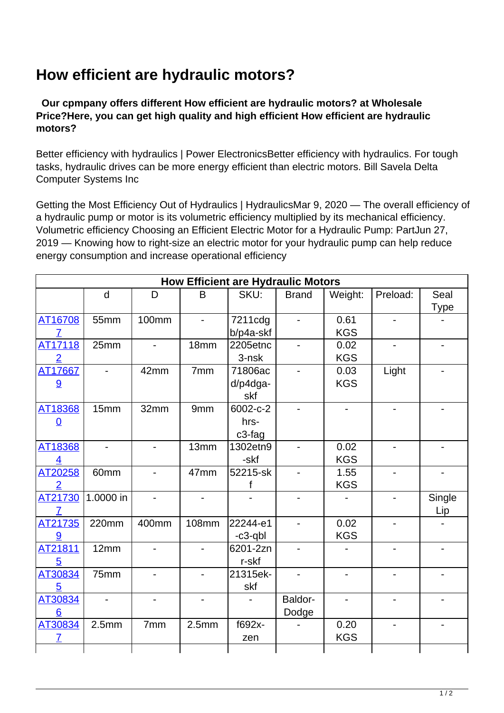## **How efficient are hydraulic motors?**

 **Our cpmpany offers different How efficient are hydraulic motors? at Wholesale Price?Here, you can get high quality and high efficient How efficient are hydraulic motors?**

Better efficiency with hydraulics | Power ElectronicsBetter efficiency with hydraulics. For tough tasks, hydraulic drives can be more energy efficient than electric motors. Bill Savela Delta Computer Systems Inc

Getting the Most Efficiency Out of Hydraulics | HydraulicsMar 9, 2020 — The overall efficiency of a hydraulic pump or motor is its volumetric efficiency multiplied by its mechanical efficiency. Volumetric efficiency Choosing an Efficient Electric Motor for a Hydraulic Pump: PartJun 27, 2019 — Knowing how to right-size an electric motor for your hydraulic pump can help reduce energy consumption and increase operational efficiency

| <b>How Efficient are Hydraulic Motors</b> |                          |                              |                              |           |                          |            |          |                              |
|-------------------------------------------|--------------------------|------------------------------|------------------------------|-----------|--------------------------|------------|----------|------------------------------|
|                                           | $\mathsf{d}$             | D                            | B                            | SKU:      | <b>Brand</b>             | Weight:    | Preload: | Seal                         |
|                                           |                          |                              |                              |           |                          |            |          | <b>Type</b>                  |
| AT16708                                   | 55mm                     | <b>100mm</b>                 |                              | 7211cdg   | $\overline{\phantom{0}}$ | 0.61       |          |                              |
| $\overline{7}$                            |                          |                              |                              | b/p4a-skf |                          | <b>KGS</b> |          |                              |
| AT17118                                   | 25mm                     | $\overline{\phantom{0}}$     | 18mm                         | 2205etnc  | $\overline{\phantom{0}}$ | 0.02       |          | $\overline{\phantom{0}}$     |
| $\overline{2}$                            |                          |                              |                              | $3-nsk$   |                          | <b>KGS</b> |          |                              |
| AT17667                                   |                          | 42mm                         | 7mm                          | 71806ac   | $\overline{a}$           | 0.03       | Light    |                              |
| 9                                         |                          |                              |                              | d/p4dga-  |                          | <b>KGS</b> |          |                              |
|                                           |                          |                              |                              | skf       |                          |            |          |                              |
| AT18368                                   | 15mm                     | 32mm                         | 9mm                          | 6002-c-2  |                          |            |          |                              |
| $\Omega$                                  |                          |                              |                              | hrs-      |                          |            |          |                              |
|                                           |                          |                              |                              | c3-fag    |                          |            |          |                              |
| AT18368                                   | $\overline{a}$           | $\overline{\phantom{0}}$     | 13mm                         | 1302etn9  | $\overline{a}$           | 0.02       |          | $\qquad \qquad \blacksquare$ |
| 4                                         |                          |                              |                              | -skf      |                          | <b>KGS</b> |          |                              |
| AT20258                                   | 60mm                     | $\overline{\phantom{0}}$     | 47mm                         | 52215-sk  | $\overline{a}$           | 1.55       |          |                              |
| $\overline{2}$                            |                          |                              |                              | f         |                          | <b>KGS</b> |          |                              |
| AT21730                                   | 1.0000 in                | $\qquad \qquad \blacksquare$ | $\overline{\phantom{0}}$     |           | $\overline{\phantom{0}}$ |            |          | Single                       |
| 7                                         |                          |                              |                              |           |                          |            |          | <u>Lip</u>                   |
| AT21735                                   | 220mm                    | 400mm                        | <b>108mm</b>                 | 22244-e1  | $\overline{a}$           | 0.02       |          |                              |
| 9                                         |                          |                              |                              | -c3-qbl   |                          | <b>KGS</b> |          |                              |
| AT21811                                   | 12mm                     | $\blacksquare$               | $\overline{\phantom{0}}$     | 6201-2zn  | $\overline{a}$           |            |          | $\overline{\phantom{a}}$     |
| $5\overline{)}$                           |                          |                              |                              | r-skf     |                          |            |          |                              |
| AT30834                                   | 75mm                     | $\blacksquare$               | $\overline{\phantom{0}}$     | 21315ek-  | $\overline{\phantom{0}}$ |            |          |                              |
| $\overline{5}$                            |                          |                              |                              | skf       |                          |            |          |                              |
| AT30834                                   | $\overline{\phantom{0}}$ | $\overline{\phantom{0}}$     | $\qquad \qquad \blacksquare$ |           | Baldor-                  |            |          |                              |
| 6                                         |                          |                              |                              |           | Dodge                    |            |          |                              |
| AT30834                                   | 2.5 <sub>mm</sub>        | 7mm                          | 2.5 <sub>mm</sub>            | f692x-    |                          | 0.20       |          |                              |
| $\mathcal{I}$                             |                          |                              |                              | zen       |                          | <b>KGS</b> |          |                              |
|                                           |                          |                              |                              |           |                          |            |          |                              |